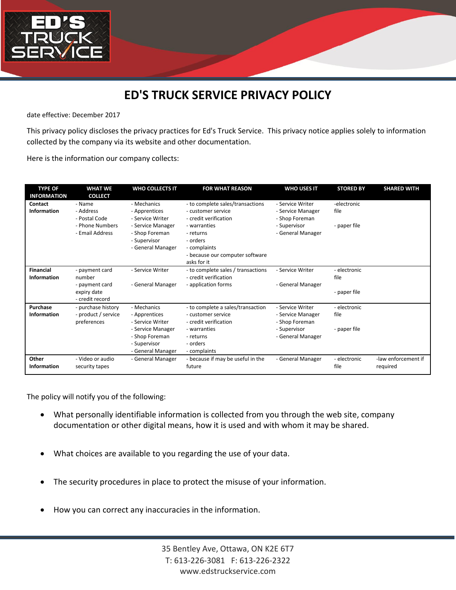

## **ED'S TRUCK SERVICE PRIVACY POLICY**

date effective: December 2017

This privacy policy discloses the privacy practices for Ed's Truck Service. This privacy notice applies solely to information collected by the company via its website and other documentation.

Here is the information our company collects:

| <b>TYPE OF</b><br><b>INFORMATION</b> | <b>WHAT WE</b><br><b>COLLECT</b>                                             | <b>WHO COLLECTS IT</b>                                                                                                       | <b>FOR WHAT REASON</b>                                                                                                                                                                     | <b>WHO USES IT</b>                                                                           | <b>STORED BY</b>                     | <b>SHARED WITH</b>              |
|--------------------------------------|------------------------------------------------------------------------------|------------------------------------------------------------------------------------------------------------------------------|--------------------------------------------------------------------------------------------------------------------------------------------------------------------------------------------|----------------------------------------------------------------------------------------------|--------------------------------------|---------------------------------|
| Contact<br>Information               | - Name<br>- Address<br>- Postal Code<br>- Phone Numbers<br>- Email Address   | - Mechanics<br>- Apprentices<br>- Service Writer<br>- Service Manager<br>- Shop Foreman<br>- Supervisor<br>- General Manager | - to complete sales/transactions<br>- customer service<br>- credit verification<br>- warranties<br>- returns<br>- orders<br>- complaints<br>- because our computer software<br>asks for it | - Service Writer<br>- Service Manager<br>- Shop Foreman<br>- Supervisor<br>- General Manager | -electronic<br>file<br>- paper file  |                                 |
| <b>Financial</b><br>Information      | - payment card<br>number<br>- payment card<br>expiry date<br>- credit record | - Service Writer<br>- General Manager                                                                                        | - to complete sales / transactions<br>- credit verification<br>- application forms                                                                                                         | - Service Writer<br>- General Manager                                                        | - electronic<br>file<br>- paper file |                                 |
| Purchase<br>Information              | - purchase history<br>- product / service<br>preferences                     | - Mechanics<br>- Apprentices<br>- Service Writer<br>- Service Manager<br>- Shop Foreman<br>- Supervisor<br>- General Manager | - to complete a sales/transaction<br>- customer service<br>- credit verification<br>- warranties<br>- returns<br>- orders<br>- complaints                                                  | - Service Writer<br>- Service Manager<br>- Shop Foreman<br>- Supervisor<br>- General Manager | - electronic<br>file<br>- paper file |                                 |
| Other<br>Information                 | - Video or audio<br>security tapes                                           | - General Manager                                                                                                            | - because if may be useful in the<br>future                                                                                                                                                | - General Manager                                                                            | - electronic<br>file                 | -law enforcement if<br>required |

The policy will notify you of the following:

- What personally identifiable information is collected from you through the web site, company documentation or other digital means, how it is used and with whom it may be shared.
- What choices are available to you regarding the use of your data.
- The security procedures in place to protect the misuse of your information.
- How you can correct any inaccuracies in the information.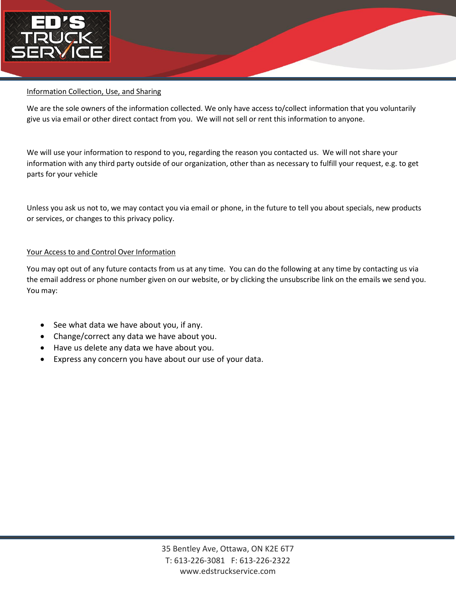

## Information Collection, Use, and Sharing

We are the sole owners of the information collected. We only have access to/collect information that you voluntarily give us via email or other direct contact from you. We will not sell or rent this information to anyone.

We will use your information to respond to you, regarding the reason you contacted us. We will not share your information with any third party outside of our organization, other than as necessary to fulfill your request, e.g. to get parts for your vehicle

Unless you ask us not to, we may contact you via email or phone, in the future to tell you about specials, new products or services, or changes to this privacy policy.

## Your Access to and Control Over Information

You may opt out of any future contacts from us at any time. You can do the following at any time by contacting us via the email address or phone number given on our website, or by clicking the unsubscribe link on the emails we send you. You may:

- See what data we have about you, if any.
- Change/correct any data we have about you.
- Have us delete any data we have about you.
- Express any concern you have about our use of your data.